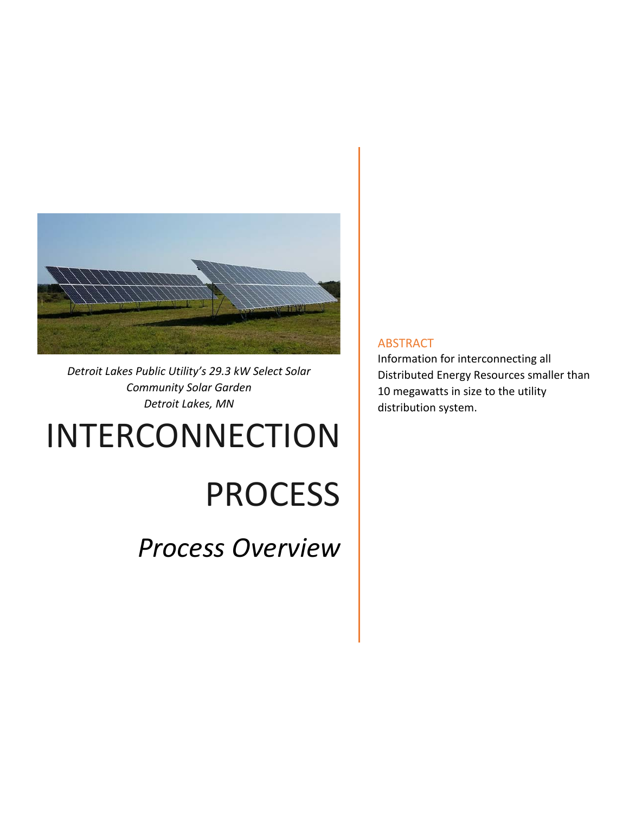

*Detroit Lakes Public Utility's 29.3 kW Select Solar Community Solar Garden Detroit Lakes, MN* 

# INTERCONNECTION

# PROCESS

*Process Overview* 

#### ABSTRACT

Information for interconnecting all Distributed Energy Resources smaller than 10 megawatts in size to the utility distribution system.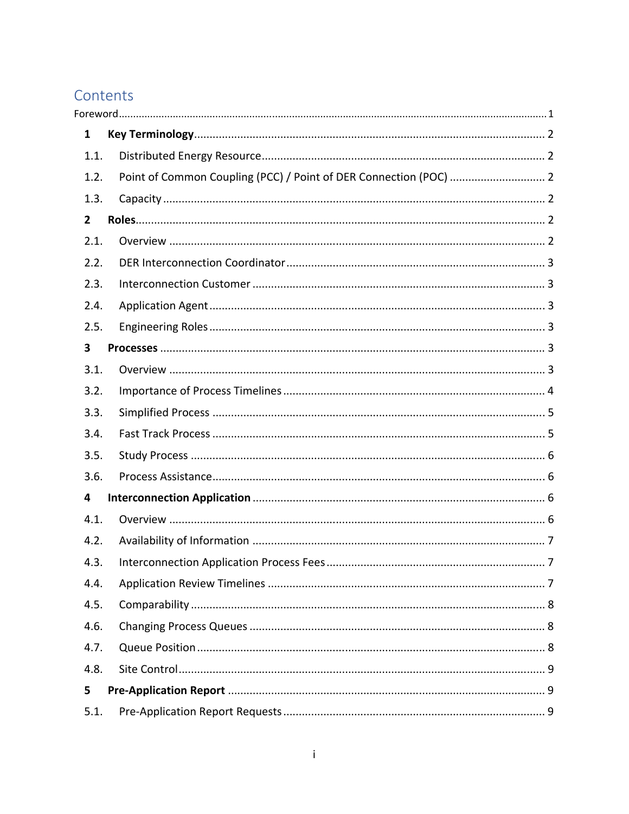# Contents

| $\mathbf{1}$ |                |                                                                   |  |
|--------------|----------------|-------------------------------------------------------------------|--|
|              | 1.1.           |                                                                   |  |
|              | 1.2.           | Point of Common Coupling (PCC) / Point of DER Connection (POC)  2 |  |
|              | 1.3.           |                                                                   |  |
|              | $\overline{2}$ |                                                                   |  |
|              | 2.1.           |                                                                   |  |
|              | 2.2.           |                                                                   |  |
|              | 2.3.           |                                                                   |  |
|              | 2.4.           |                                                                   |  |
|              | 2.5.           |                                                                   |  |
| 3            |                |                                                                   |  |
|              | 3.1.           |                                                                   |  |
|              | 3.2.           |                                                                   |  |
|              | 3.3.           |                                                                   |  |
|              | 3.4.           |                                                                   |  |
|              | 3.5.           |                                                                   |  |
|              | 3.6.           |                                                                   |  |
| 4            |                |                                                                   |  |
|              | 4.1.           |                                                                   |  |
|              | 4.2.           |                                                                   |  |
|              | 4.3.           |                                                                   |  |
|              | 4.4.           |                                                                   |  |
|              | 4.5.           |                                                                   |  |
|              | 4.6.           |                                                                   |  |
|              | 4.7.           |                                                                   |  |
|              | 4.8.           |                                                                   |  |
| 5            |                |                                                                   |  |
|              | 5.1.           |                                                                   |  |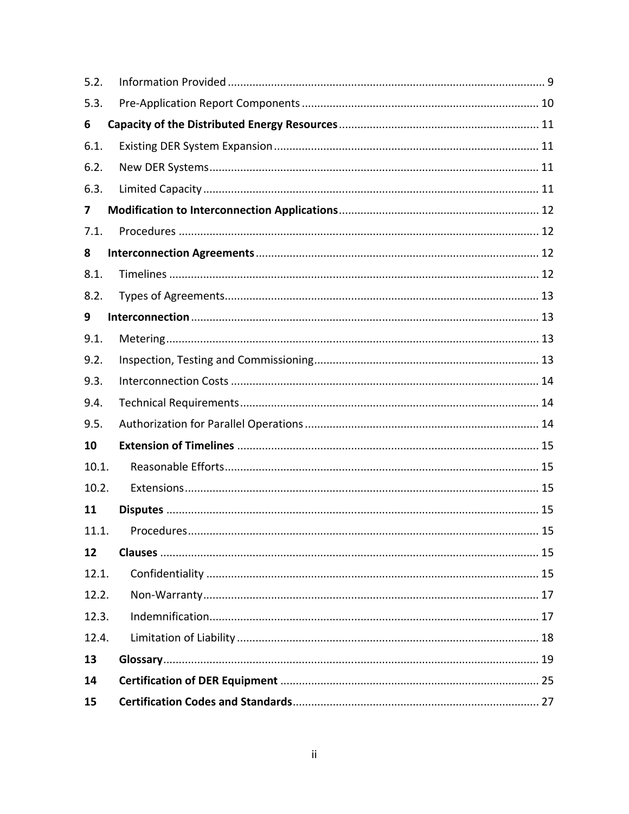| 5.2.  |    |
|-------|----|
| 5.3.  |    |
| 6     |    |
| 6.1.  |    |
| 6.2.  |    |
| 6.3.  |    |
| 7     |    |
| 7.1.  |    |
| 8     |    |
| 8.1.  |    |
| 8.2.  |    |
| 9     |    |
| 9.1.  |    |
| 9.2.  |    |
| 9.3.  |    |
| 9.4.  |    |
| 9.5.  |    |
| 10    |    |
| 10.1. |    |
| 10.2. |    |
| 11    |    |
| 11.1. | 15 |
| 12    |    |
| 12.1. |    |
| 12.2. |    |
| 12.3. |    |
| 12.4. |    |
| 13    |    |
| 14    |    |
| 15    |    |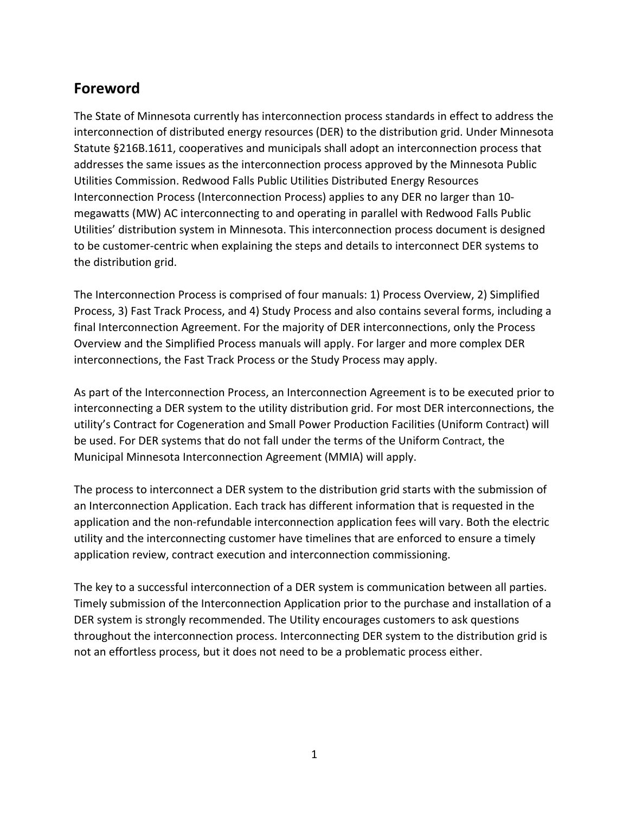# **Foreword**

The State of Minnesota currently has interconnection process standards in effect to address the interconnection of distributed energy resources (DER) to the distribution grid. Under Minnesota Statute §216B.1611, cooperatives and municipals shall adopt an interconnection process that addresses the same issues as the interconnection process approved by the Minnesota Public Utilities Commission. Redwood Falls Public Utilities Distributed Energy Resources Interconnection Process (Interconnection Process) applies to any DER no larger than 10‐ megawatts (MW) AC interconnecting to and operating in parallel with Redwood Falls Public Utilities' distribution system in Minnesota. This interconnection process document is designed to be customer‐centric when explaining the steps and details to interconnect DER systems to the distribution grid.

The Interconnection Process is comprised of four manuals: 1) Process Overview, 2) Simplified Process, 3) Fast Track Process, and 4) Study Process and also contains several forms, including a final Interconnection Agreement. For the majority of DER interconnections, only the Process Overview and the Simplified Process manuals will apply. For larger and more complex DER interconnections, the Fast Track Process or the Study Process may apply.

As part of the Interconnection Process, an Interconnection Agreement is to be executed prior to interconnecting a DER system to the utility distribution grid. For most DER interconnections, the utility's Contract for Cogeneration and Small Power Production Facilities (Uniform Contract) will be used. For DER systems that do not fall under the terms of the Uniform Contract, the Municipal Minnesota Interconnection Agreement (MMIA) will apply.

The process to interconnect a DER system to the distribution grid starts with the submission of an Interconnection Application. Each track has different information that is requested in the application and the non‐refundable interconnection application fees will vary. Both the electric utility and the interconnecting customer have timelines that are enforced to ensure a timely application review, contract execution and interconnection commissioning.

The key to a successful interconnection of a DER system is communication between all parties. Timely submission of the Interconnection Application prior to the purchase and installation of a DER system is strongly recommended. The Utility encourages customers to ask questions throughout the interconnection process. Interconnecting DER system to the distribution grid is not an effortless process, but it does not need to be a problematic process either.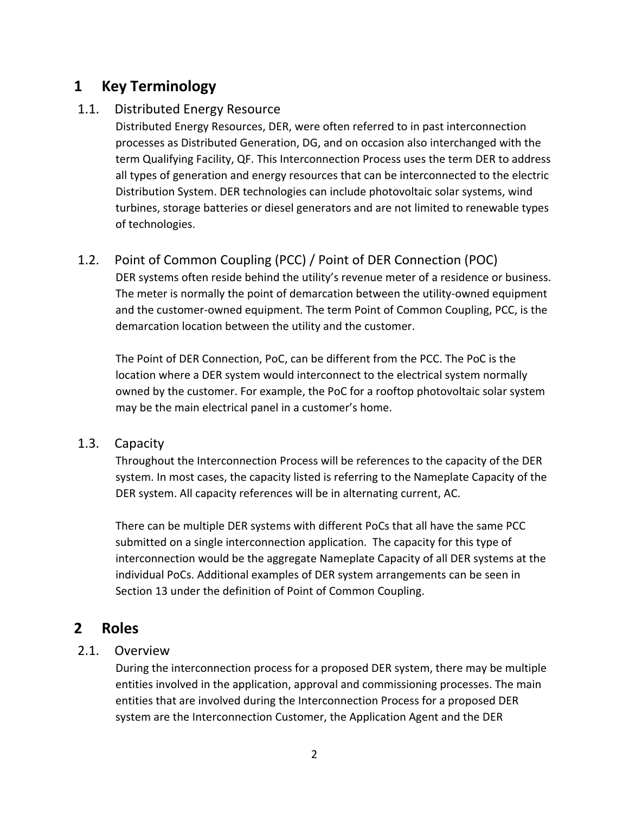# **1 Key Terminology**

## 1.1. Distributed Energy Resource

Distributed Energy Resources, DER, were often referred to in past interconnection processes as Distributed Generation, DG, and on occasion also interchanged with the term Qualifying Facility, QF. This Interconnection Process uses the term DER to address all types of generation and energy resources that can be interconnected to the electric Distribution System. DER technologies can include photovoltaic solar systems, wind turbines, storage batteries or diesel generators and are not limited to renewable types of technologies.

## 1.2. Point of Common Coupling (PCC) / Point of DER Connection (POC)

DER systems often reside behind the utility's revenue meter of a residence or business. The meter is normally the point of demarcation between the utility-owned equipment and the customer‐owned equipment. The term Point of Common Coupling, PCC, is the demarcation location between the utility and the customer.

The Point of DER Connection, PoC, can be different from the PCC. The PoC is the location where a DER system would interconnect to the electrical system normally owned by the customer. For example, the PoC for a rooftop photovoltaic solar system may be the main electrical panel in a customer's home.

## 1.3. Capacity

Throughout the Interconnection Process will be references to the capacity of the DER system. In most cases, the capacity listed is referring to the Nameplate Capacity of the DER system. All capacity references will be in alternating current, AC.

There can be multiple DER systems with different PoCs that all have the same PCC submitted on a single interconnection application. The capacity for this type of interconnection would be the aggregate Nameplate Capacity of all DER systems at the individual PoCs. Additional examples of DER system arrangements can be seen in Section 13 under the definition of Point of Common Coupling.

## **2 Roles**

## 2.1. Overview

During the interconnection process for a proposed DER system, there may be multiple entities involved in the application, approval and commissioning processes. The main entities that are involved during the Interconnection Process for a proposed DER system are the Interconnection Customer, the Application Agent and the DER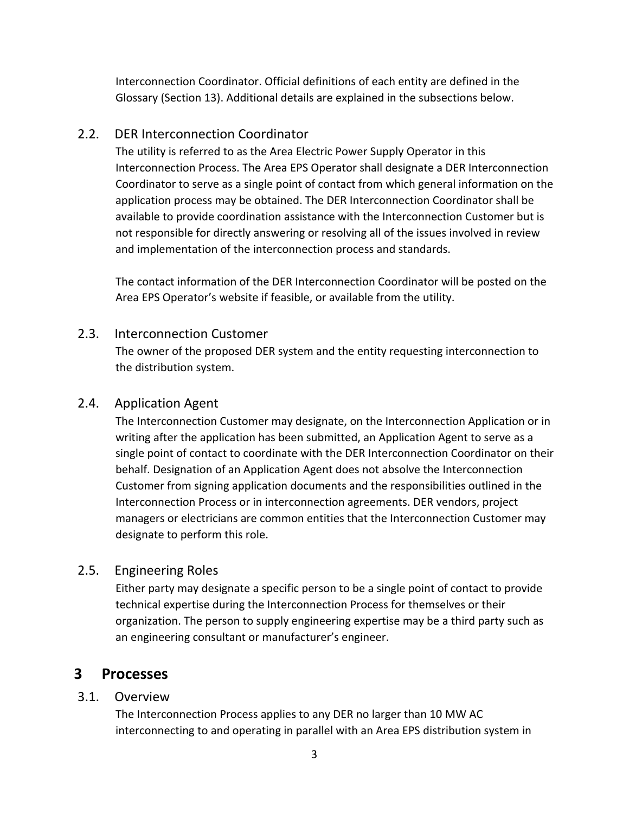Interconnection Coordinator. Official definitions of each entity are defined in the Glossary (Section 13). Additional details are explained in the subsections below.

## 2.2. DER Interconnection Coordinator

The utility is referred to as the Area Electric Power Supply Operator in this Interconnection Process. The Area EPS Operator shall designate a DER Interconnection Coordinator to serve as a single point of contact from which general information on the application process may be obtained. The DER Interconnection Coordinator shall be available to provide coordination assistance with the Interconnection Customer but is not responsible for directly answering or resolving all of the issues involved in review and implementation of the interconnection process and standards.

The contact information of the DER Interconnection Coordinator will be posted on the Area EPS Operator's website if feasible, or available from the utility.

## 2.3. Interconnection Customer

The owner of the proposed DER system and the entity requesting interconnection to the distribution system.

## 2.4. Application Agent

The Interconnection Customer may designate, on the Interconnection Application or in writing after the application has been submitted, an Application Agent to serve as a single point of contact to coordinate with the DER Interconnection Coordinator on their behalf. Designation of an Application Agent does not absolve the Interconnection Customer from signing application documents and the responsibilities outlined in the Interconnection Process or in interconnection agreements. DER vendors, project managers or electricians are common entities that the Interconnection Customer may designate to perform this role.

## 2.5. Engineering Roles

Either party may designate a specific person to be a single point of contact to provide technical expertise during the Interconnection Process for themselves or their organization. The person to supply engineering expertise may be a third party such as an engineering consultant or manufacturer's engineer.

## **3 Processes**

## 3.1. Overview

The Interconnection Process applies to any DER no larger than 10 MW AC interconnecting to and operating in parallel with an Area EPS distribution system in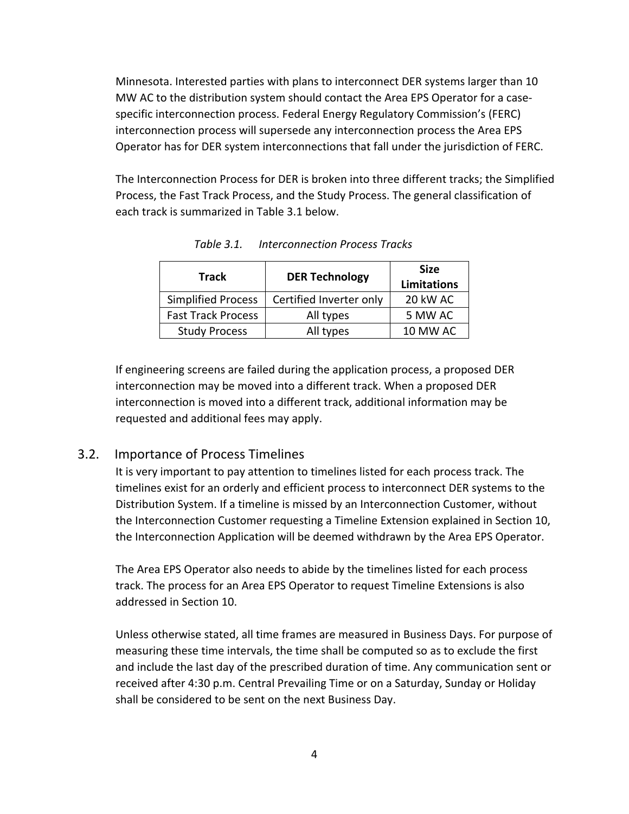Minnesota. Interested parties with plans to interconnect DER systems larger than 10 MW AC to the distribution system should contact the Area EPS Operator for a case‐ specific interconnection process. Federal Energy Regulatory Commission's (FERC) interconnection process will supersede any interconnection process the Area EPS Operator has for DER system interconnections that fall under the jurisdiction of FERC.

The Interconnection Process for DER is broken into three different tracks; the Simplified Process, the Fast Track Process, and the Study Process. The general classification of each track is summarized in Table 3.1 below.

| <b>Track</b>              | <b>DER Technology</b>   | <b>Size</b><br><b>Limitations</b> |
|---------------------------|-------------------------|-----------------------------------|
| <b>Simplified Process</b> | Certified Inverter only | 20 kW AC                          |
| <b>Fast Track Process</b> | All types               | 5 MW AC                           |
| <b>Study Process</b>      | All types               | 10 MW AC                          |

*Table 3.1. Interconnection Process Tracks* 

If engineering screens are failed during the application process, a proposed DER interconnection may be moved into a different track. When a proposed DER interconnection is moved into a different track, additional information may be requested and additional fees may apply.

#### 3.2. Importance of Process Timelines

It is very important to pay attention to timelines listed for each process track. The timelines exist for an orderly and efficient process to interconnect DER systems to the Distribution System. If a timeline is missed by an Interconnection Customer, without the Interconnection Customer requesting a Timeline Extension explained in Section 10, the Interconnection Application will be deemed withdrawn by the Area EPS Operator.

The Area EPS Operator also needs to abide by the timelines listed for each process track. The process for an Area EPS Operator to request Timeline Extensions is also addressed in Section 10.

Unless otherwise stated, all time frames are measured in Business Days. For purpose of measuring these time intervals, the time shall be computed so as to exclude the first and include the last day of the prescribed duration of time. Any communication sent or received after 4:30 p.m. Central Prevailing Time or on a Saturday, Sunday or Holiday shall be considered to be sent on the next Business Day.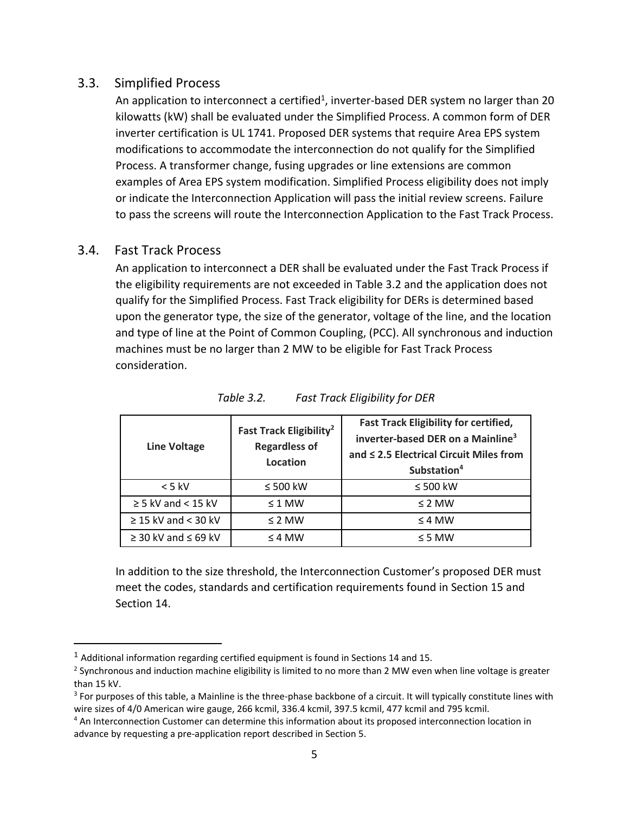#### 3.3. Simplified Process

An application to interconnect a certified<sup>1</sup>, inverter-based DER system no larger than 20 kilowatts (kW) shall be evaluated under the Simplified Process. A common form of DER inverter certification is UL 1741. Proposed DER systems that require Area EPS system modifications to accommodate the interconnection do not qualify for the Simplified Process. A transformer change, fusing upgrades or line extensions are common examples of Area EPS system modification. Simplified Process eligibility does not imply or indicate the Interconnection Application will pass the initial review screens. Failure to pass the screens will route the Interconnection Application to the Fast Track Process.

## 3.4. Fast Track Process

An application to interconnect a DER shall be evaluated under the Fast Track Process if the eligibility requirements are not exceeded in Table 3.2 and the application does not qualify for the Simplified Process. Fast Track eligibility for DERs is determined based upon the generator type, the size of the generator, voltage of the line, and the location and type of line at the Point of Common Coupling, (PCC). All synchronous and induction machines must be no larger than 2 MW to be eligible for Fast Track Process consideration.

| <b>Line Voltage</b>           | Fast Track Eligibility <sup>2</sup><br><b>Regardless of</b><br>Location | <b>Fast Track Eligibility for certified,</b><br>inverter-based DER on a Mainline <sup>3</sup><br>and ≤ 2.5 Electrical Circuit Miles from<br>Substation <sup>4</sup> |
|-------------------------------|-------------------------------------------------------------------------|---------------------------------------------------------------------------------------------------------------------------------------------------------------------|
| $< 5$ kV                      | $\leq 500$ kW                                                           | $\leq 500$ kW                                                                                                                                                       |
| $\geq$ 5 kV and < 15 kV       | $\leq$ 1 MW                                                             | $\leq$ 2 MW                                                                                                                                                         |
| $\geq$ 15 kV and < 30 kV      | $\leq$ 2 MW                                                             | $\leq$ 4 MW                                                                                                                                                         |
| $\geq$ 30 kV and $\leq$ 69 kV | $\leq$ 4 MW                                                             | $\leq$ 5 MW                                                                                                                                                         |

*Table 3.2. Fast Track Eligibility for DER* 

In addition to the size threshold, the Interconnection Customer's proposed DER must meet the codes, standards and certification requirements found in Section 15 and Section 14.

 $1$  Additional information regarding certified equipment is found in Sections 14 and 15.

 $2$  Synchronous and induction machine eligibility is limited to no more than 2 MW even when line voltage is greater than 15 kV.

<sup>&</sup>lt;sup>3</sup> For purposes of this table, a Mainline is the three-phase backbone of a circuit. It will typically constitute lines with wire sizes of 4/0 American wire gauge, 266 kcmil, 336.4 kcmil, 397.5 kcmil, 477 kcmil and 795 kcmil.

<sup>4</sup> An Interconnection Customer can determine this information about its proposed interconnection location in advance by requesting a pre‐application report described in Section 5.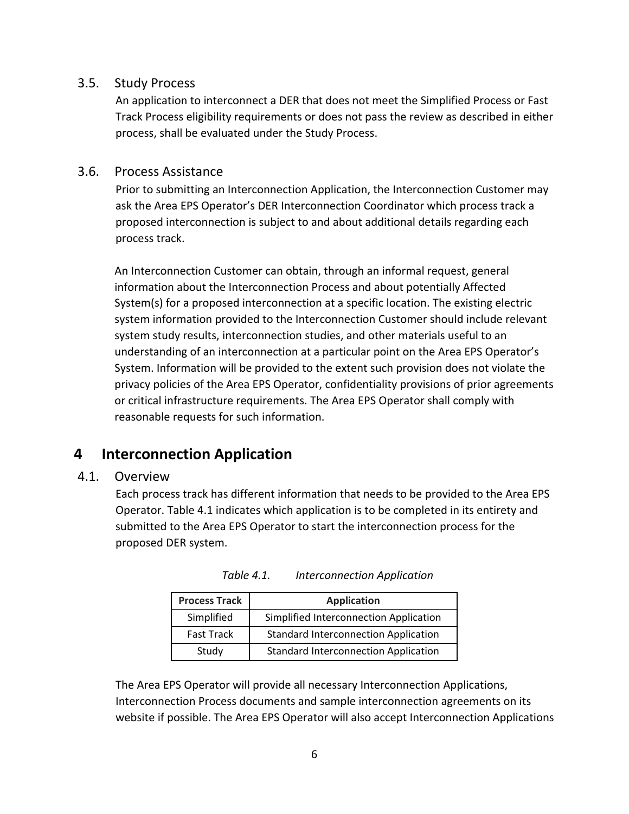#### 3.5. Study Process

An application to interconnect a DER that does not meet the Simplified Process or Fast Track Process eligibility requirements or does not pass the review as described in either process, shall be evaluated under the Study Process.

#### 3.6. Process Assistance

Prior to submitting an Interconnection Application, the Interconnection Customer may ask the Area EPS Operator's DER Interconnection Coordinator which process track a proposed interconnection is subject to and about additional details regarding each process track.

An Interconnection Customer can obtain, through an informal request, general information about the Interconnection Process and about potentially Affected System(s) for a proposed interconnection at a specific location. The existing electric system information provided to the Interconnection Customer should include relevant system study results, interconnection studies, and other materials useful to an understanding of an interconnection at a particular point on the Area EPS Operator's System. Information will be provided to the extent such provision does not violate the privacy policies of the Area EPS Operator, confidentiality provisions of prior agreements or critical infrastructure requirements. The Area EPS Operator shall comply with reasonable requests for such information.

# **4 Interconnection Application**

## 4.1. Overview

Each process track has different information that needs to be provided to the Area EPS Operator. Table 4.1 indicates which application is to be completed in its entirety and submitted to the Area EPS Operator to start the interconnection process for the proposed DER system.

| <b>Process Track</b> | <b>Application</b>                          |
|----------------------|---------------------------------------------|
| Simplified           | Simplified Interconnection Application      |
| <b>Fast Track</b>    | <b>Standard Interconnection Application</b> |
| Study                | <b>Standard Interconnection Application</b> |

| Table 4.1. | <b>Interconnection Application</b> |
|------------|------------------------------------|
|------------|------------------------------------|

The Area EPS Operator will provide all necessary Interconnection Applications, Interconnection Process documents and sample interconnection agreements on its website if possible. The Area EPS Operator will also accept Interconnection Applications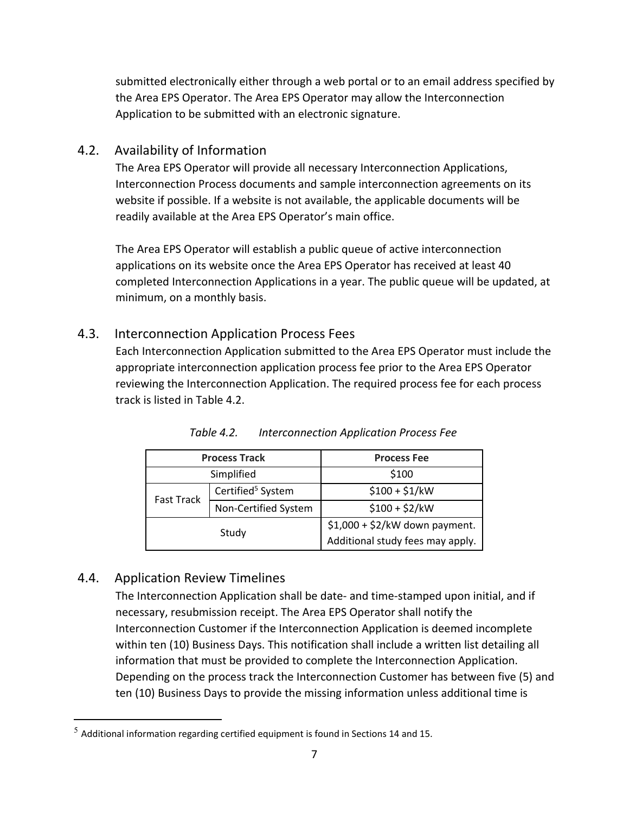submitted electronically either through a web portal or to an email address specified by the Area EPS Operator. The Area EPS Operator may allow the Interconnection Application to be submitted with an electronic signature.

## 4.2. Availability of Information

The Area EPS Operator will provide all necessary Interconnection Applications, Interconnection Process documents and sample interconnection agreements on its website if possible. If a website is not available, the applicable documents will be readily available at the Area EPS Operator's main office.

The Area EPS Operator will establish a public queue of active interconnection applications on its website once the Area EPS Operator has received at least 40 completed Interconnection Applications in a year. The public queue will be updated, at minimum, on a monthly basis.

## 4.3. Interconnection Application Process Fees

Each Interconnection Application submitted to the Area EPS Operator must include the appropriate interconnection application process fee prior to the Area EPS Operator reviewing the Interconnection Application. The required process fee for each process track is listed in Table 4.2.

| <b>Process Track</b> |                               | <b>Process Fee</b>               |
|----------------------|-------------------------------|----------------------------------|
| Simplified           |                               | \$100                            |
| <b>Fast Track</b>    | Certified <sup>5</sup> System | $$100 + $1/kW$                   |
|                      | Non-Certified System          | $$100 + $2/kW$                   |
|                      | Study                         | $$1,000 + $2/kW$ down payment.   |
|                      |                               | Additional study fees may apply. |

*Table 4.2. Interconnection Application Process Fee* 

## 4.4. Application Review Timelines

The Interconnection Application shall be date‐ and time‐stamped upon initial, and if necessary, resubmission receipt. The Area EPS Operator shall notify the Interconnection Customer if the Interconnection Application is deemed incomplete within ten (10) Business Days. This notification shall include a written list detailing all information that must be provided to complete the Interconnection Application. Depending on the process track the Interconnection Customer has between five (5) and ten (10) Business Days to provide the missing information unless additional time is

 $5$  Additional information regarding certified equipment is found in Sections 14 and 15.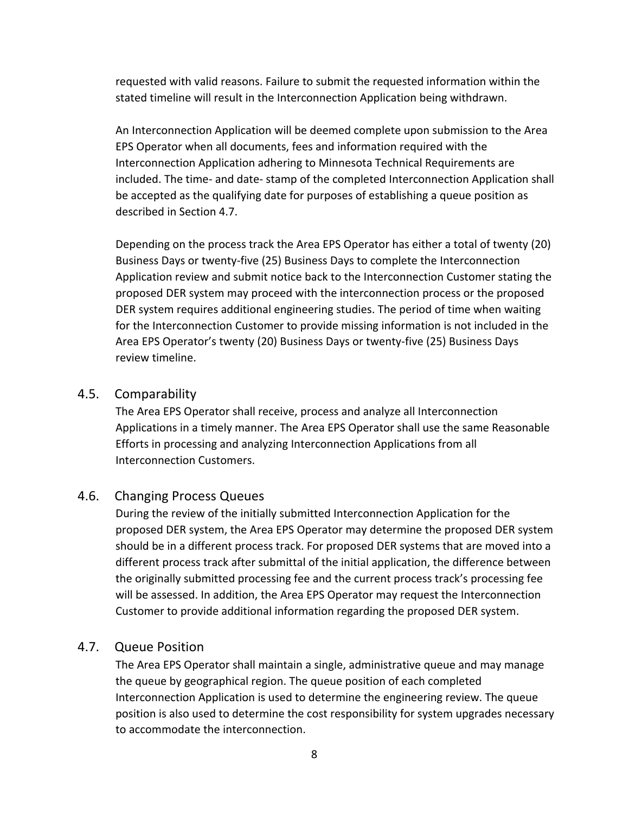requested with valid reasons. Failure to submit the requested information within the stated timeline will result in the Interconnection Application being withdrawn.

An Interconnection Application will be deemed complete upon submission to the Area EPS Operator when all documents, fees and information required with the Interconnection Application adhering to Minnesota Technical Requirements are included. The time‐ and date‐ stamp of the completed Interconnection Application shall be accepted as the qualifying date for purposes of establishing a queue position as described in Section 4.7.

Depending on the process track the Area EPS Operator has either a total of twenty (20) Business Days or twenty‐five (25) Business Days to complete the Interconnection Application review and submit notice back to the Interconnection Customer stating the proposed DER system may proceed with the interconnection process or the proposed DER system requires additional engineering studies. The period of time when waiting for the Interconnection Customer to provide missing information is not included in the Area EPS Operator's twenty (20) Business Days or twenty‐five (25) Business Days review timeline.

#### 4.5. Comparability

The Area EPS Operator shall receive, process and analyze all Interconnection Applications in a timely manner. The Area EPS Operator shall use the same Reasonable Efforts in processing and analyzing Interconnection Applications from all Interconnection Customers.

#### 4.6. Changing Process Queues

During the review of the initially submitted Interconnection Application for the proposed DER system, the Area EPS Operator may determine the proposed DER system should be in a different process track. For proposed DER systems that are moved into a different process track after submittal of the initial application, the difference between the originally submitted processing fee and the current process track's processing fee will be assessed. In addition, the Area EPS Operator may request the Interconnection Customer to provide additional information regarding the proposed DER system.

#### 4.7. Queue Position

The Area EPS Operator shall maintain a single, administrative queue and may manage the queue by geographical region. The queue position of each completed Interconnection Application is used to determine the engineering review. The queue position is also used to determine the cost responsibility for system upgrades necessary to accommodate the interconnection.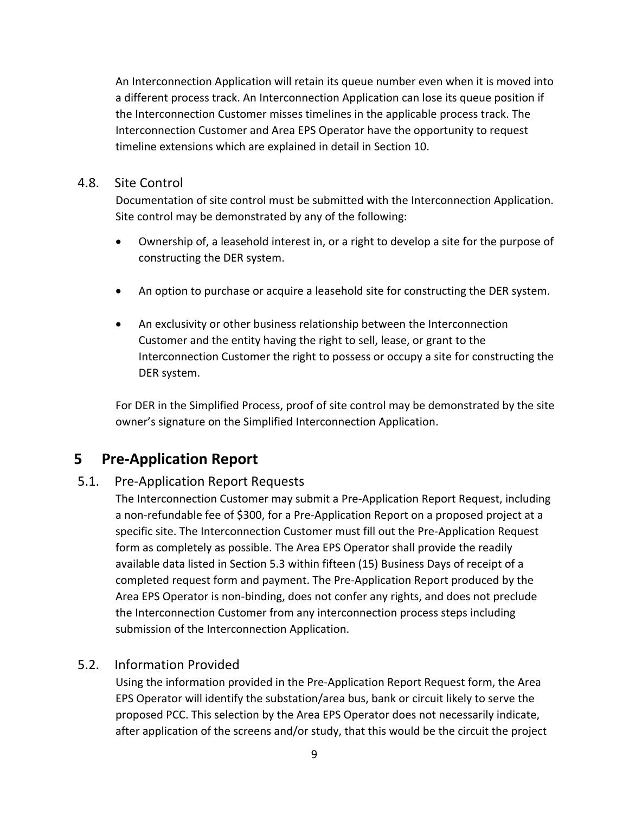An Interconnection Application will retain its queue number even when it is moved into a different process track. An Interconnection Application can lose its queue position if the Interconnection Customer misses timelines in the applicable process track. The Interconnection Customer and Area EPS Operator have the opportunity to request timeline extensions which are explained in detail in Section 10.

#### 4.8. Site Control

Documentation of site control must be submitted with the Interconnection Application. Site control may be demonstrated by any of the following:

- Ownership of, a leasehold interest in, or a right to develop a site for the purpose of constructing the DER system.
- An option to purchase or acquire a leasehold site for constructing the DER system.
- An exclusivity or other business relationship between the Interconnection Customer and the entity having the right to sell, lease, or grant to the Interconnection Customer the right to possess or occupy a site for constructing the DER system.

For DER in the Simplified Process, proof of site control may be demonstrated by the site owner's signature on the Simplified Interconnection Application.

# **5 Pre‐Application Report**

## 5.1. Pre‐Application Report Requests

The Interconnection Customer may submit a Pre‐Application Report Request, including a non‐refundable fee of \$300, for a Pre‐Application Report on a proposed project at a specific site. The Interconnection Customer must fill out the Pre‐Application Request form as completely as possible. The Area EPS Operator shall provide the readily available data listed in Section 5.3 within fifteen (15) Business Days of receipt of a completed request form and payment. The Pre‐Application Report produced by the Area EPS Operator is non‐binding, does not confer any rights, and does not preclude the Interconnection Customer from any interconnection process steps including submission of the Interconnection Application.

## 5.2. Information Provided

Using the information provided in the Pre‐Application Report Request form, the Area EPS Operator will identify the substation/area bus, bank or circuit likely to serve the proposed PCC. This selection by the Area EPS Operator does not necessarily indicate, after application of the screens and/or study, that this would be the circuit the project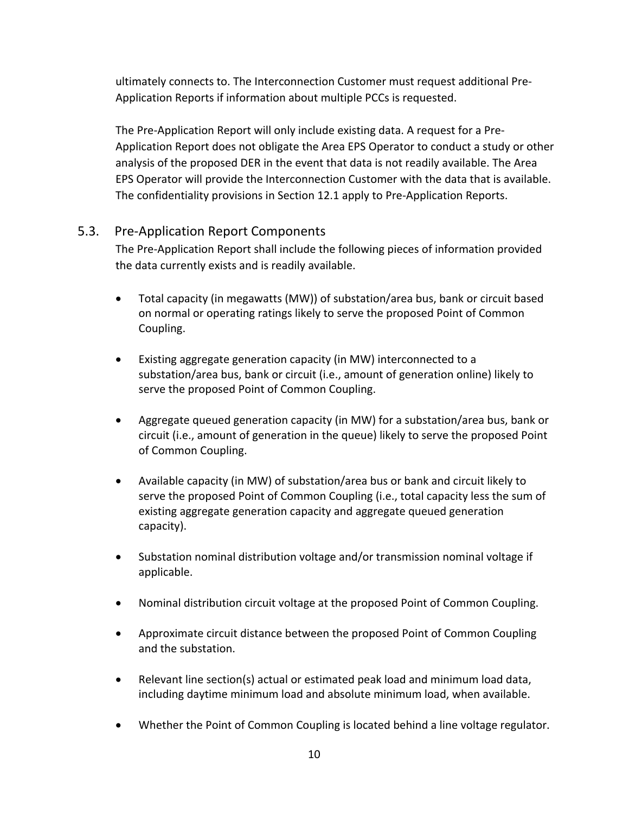ultimately connects to. The Interconnection Customer must request additional Pre‐ Application Reports if information about multiple PCCs is requested.

The Pre‐Application Report will only include existing data. A request for a Pre‐ Application Report does not obligate the Area EPS Operator to conduct a study or other analysis of the proposed DER in the event that data is not readily available. The Area EPS Operator will provide the Interconnection Customer with the data that is available. The confidentiality provisions in Section 12.1 apply to Pre‐Application Reports.

## 5.3. Pre‐Application Report Components

The Pre‐Application Report shall include the following pieces of information provided the data currently exists and is readily available.

- Total capacity (in megawatts (MW)) of substation/area bus, bank or circuit based on normal or operating ratings likely to serve the proposed Point of Common Coupling.
- Existing aggregate generation capacity (in MW) interconnected to a substation/area bus, bank or circuit (i.e., amount of generation online) likely to serve the proposed Point of Common Coupling.
- Aggregate queued generation capacity (in MW) for a substation/area bus, bank or circuit (i.e., amount of generation in the queue) likely to serve the proposed Point of Common Coupling.
- Available capacity (in MW) of substation/area bus or bank and circuit likely to serve the proposed Point of Common Coupling (i.e., total capacity less the sum of existing aggregate generation capacity and aggregate queued generation capacity).
- Substation nominal distribution voltage and/or transmission nominal voltage if applicable.
- Nominal distribution circuit voltage at the proposed Point of Common Coupling.
- Approximate circuit distance between the proposed Point of Common Coupling and the substation.
- Relevant line section(s) actual or estimated peak load and minimum load data, including daytime minimum load and absolute minimum load, when available.
- Whether the Point of Common Coupling is located behind a line voltage regulator.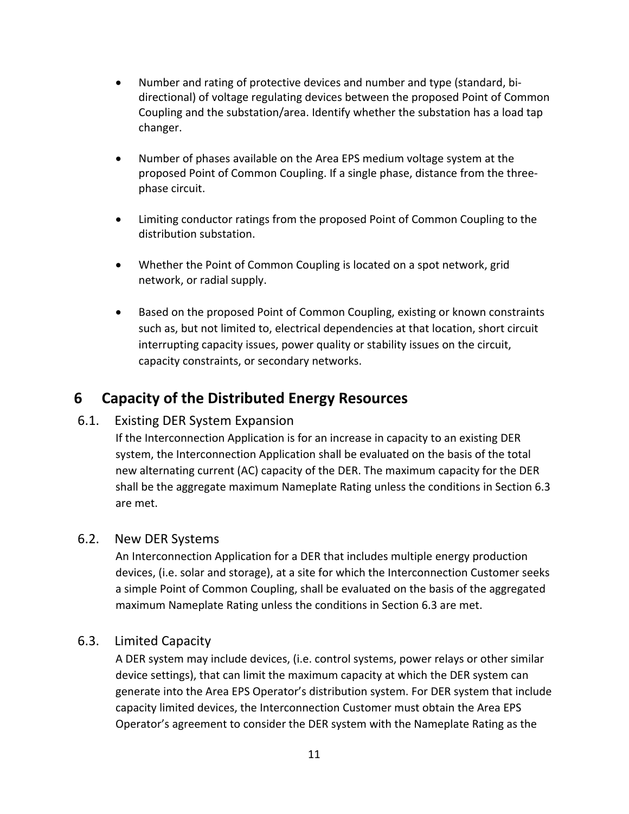- Number and rating of protective devices and number and type (standard, bi‐ directional) of voltage regulating devices between the proposed Point of Common Coupling and the substation/area. Identify whether the substation has a load tap changer.
- Number of phases available on the Area EPS medium voltage system at the proposed Point of Common Coupling. If a single phase, distance from the three‐ phase circuit.
- Limiting conductor ratings from the proposed Point of Common Coupling to the distribution substation.
- Whether the Point of Common Coupling is located on a spot network, grid network, or radial supply.
- **•** Based on the proposed Point of Common Coupling, existing or known constraints such as, but not limited to, electrical dependencies at that location, short circuit interrupting capacity issues, power quality or stability issues on the circuit, capacity constraints, or secondary networks.

# **6 Capacity of the Distributed Energy Resources**

## 6.1. Existing DER System Expansion

If the Interconnection Application is for an increase in capacity to an existing DER system, the Interconnection Application shall be evaluated on the basis of the total new alternating current (AC) capacity of the DER. The maximum capacity for the DER shall be the aggregate maximum Nameplate Rating unless the conditions in Section 6.3 are met.

## 6.2. New DER Systems

An Interconnection Application for a DER that includes multiple energy production devices, (i.e. solar and storage), at a site for which the Interconnection Customer seeks a simple Point of Common Coupling, shall be evaluated on the basis of the aggregated maximum Nameplate Rating unless the conditions in Section 6.3 are met.

## 6.3. Limited Capacity

A DER system may include devices, (i.e. control systems, power relays or other similar device settings), that can limit the maximum capacity at which the DER system can generate into the Area EPS Operator's distribution system. For DER system that include capacity limited devices, the Interconnection Customer must obtain the Area EPS Operator's agreement to consider the DER system with the Nameplate Rating as the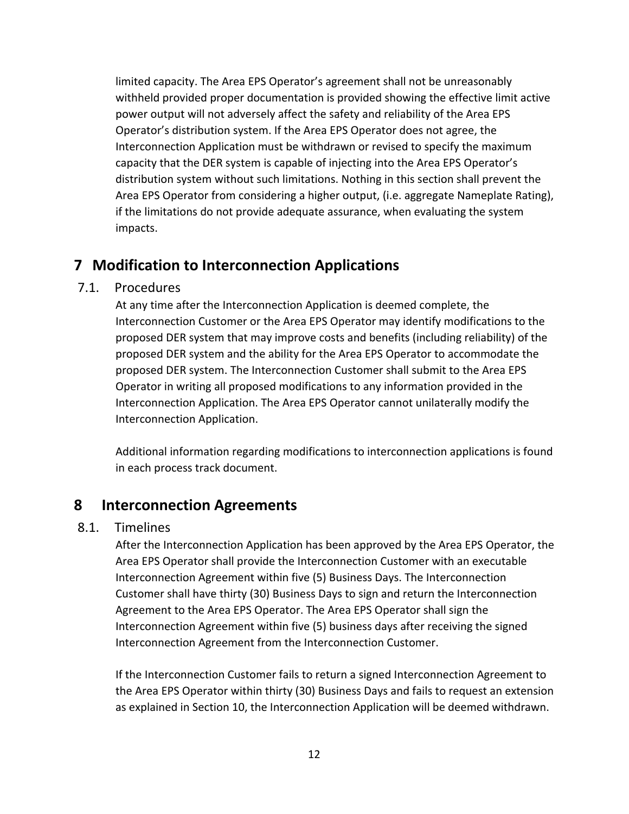limited capacity. The Area EPS Operator's agreement shall not be unreasonably withheld provided proper documentation is provided showing the effective limit active power output will not adversely affect the safety and reliability of the Area EPS Operator's distribution system. If the Area EPS Operator does not agree, the Interconnection Application must be withdrawn or revised to specify the maximum capacity that the DER system is capable of injecting into the Area EPS Operator's distribution system without such limitations. Nothing in this section shall prevent the Area EPS Operator from considering a higher output, (i.e. aggregate Nameplate Rating), if the limitations do not provide adequate assurance, when evaluating the system impacts.

## **7 Modification to Interconnection Applications**

## 7.1. Procedures

At any time after the Interconnection Application is deemed complete, the Interconnection Customer or the Area EPS Operator may identify modifications to the proposed DER system that may improve costs and benefits (including reliability) of the proposed DER system and the ability for the Area EPS Operator to accommodate the proposed DER system. The Interconnection Customer shall submit to the Area EPS Operator in writing all proposed modifications to any information provided in the Interconnection Application. The Area EPS Operator cannot unilaterally modify the Interconnection Application.

Additional information regarding modifications to interconnection applications is found in each process track document.

## **8 Interconnection Agreements**

#### 8.1. Timelines

After the Interconnection Application has been approved by the Area EPS Operator, the Area EPS Operator shall provide the Interconnection Customer with an executable Interconnection Agreement within five (5) Business Days. The Interconnection Customer shall have thirty (30) Business Days to sign and return the Interconnection Agreement to the Area EPS Operator. The Area EPS Operator shall sign the Interconnection Agreement within five (5) business days after receiving the signed Interconnection Agreement from the Interconnection Customer.

If the Interconnection Customer fails to return a signed Interconnection Agreement to the Area EPS Operator within thirty (30) Business Days and fails to request an extension as explained in Section 10, the Interconnection Application will be deemed withdrawn.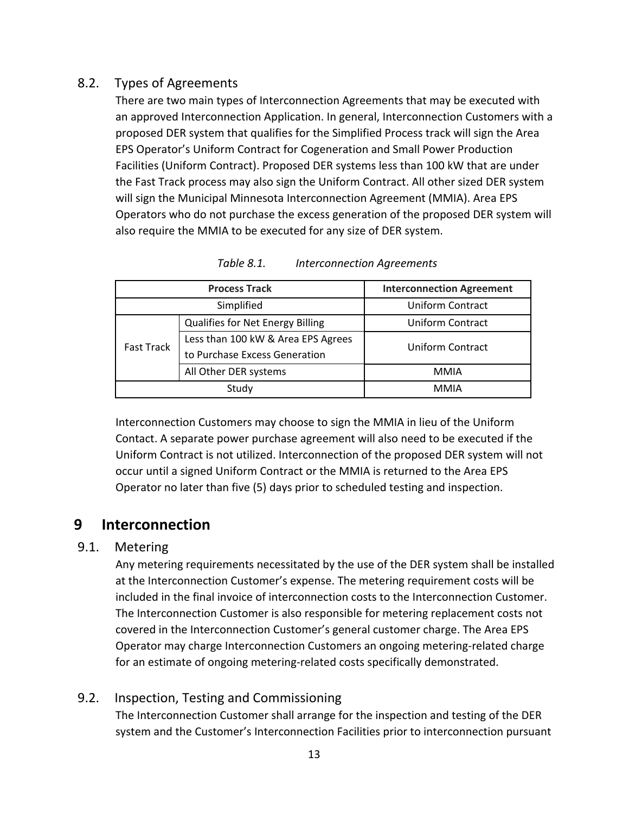## 8.2. Types of Agreements

There are two main types of Interconnection Agreements that may be executed with an approved Interconnection Application. In general, Interconnection Customers with a proposed DER system that qualifies for the Simplified Process track will sign the Area EPS Operator's Uniform Contract for Cogeneration and Small Power Production Facilities (Uniform Contract). Proposed DER systems less than 100 kW that are under the Fast Track process may also sign the Uniform Contract. All other sized DER system will sign the Municipal Minnesota Interconnection Agreement (MMIA). Area EPS Operators who do not purchase the excess generation of the proposed DER system will also require the MMIA to be executed for any size of DER system.

| <b>Process Track</b> |                                         | <b>Interconnection Agreement</b> |  |
|----------------------|-----------------------------------------|----------------------------------|--|
| Simplified           |                                         | <b>Uniform Contract</b>          |  |
|                      | <b>Qualifies for Net Energy Billing</b> | <b>Uniform Contract</b>          |  |
| <b>Fast Track</b>    | Less than 100 kW & Area EPS Agrees      | Uniform Contract                 |  |
|                      | to Purchase Excess Generation           |                                  |  |
|                      | All Other DER systems                   | <b>MMIA</b>                      |  |
|                      | Study                                   | <b>MMIA</b>                      |  |

*Table 8.1. Interconnection Agreements* 

Interconnection Customers may choose to sign the MMIA in lieu of the Uniform Contact. A separate power purchase agreement will also need to be executed if the Uniform Contract is not utilized. Interconnection of the proposed DER system will not occur until a signed Uniform Contract or the MMIA is returned to the Area EPS Operator no later than five (5) days prior to scheduled testing and inspection.

## **9 Interconnection**

## 9.1. Metering

Any metering requirements necessitated by the use of the DER system shall be installed at the Interconnection Customer's expense. The metering requirement costs will be included in the final invoice of interconnection costs to the Interconnection Customer. The Interconnection Customer is also responsible for metering replacement costs not covered in the Interconnection Customer's general customer charge. The Area EPS Operator may charge Interconnection Customers an ongoing metering‐related charge for an estimate of ongoing metering‐related costs specifically demonstrated.

## 9.2. Inspection, Testing and Commissioning

The Interconnection Customer shall arrange for the inspection and testing of the DER system and the Customer's Interconnection Facilities prior to interconnection pursuant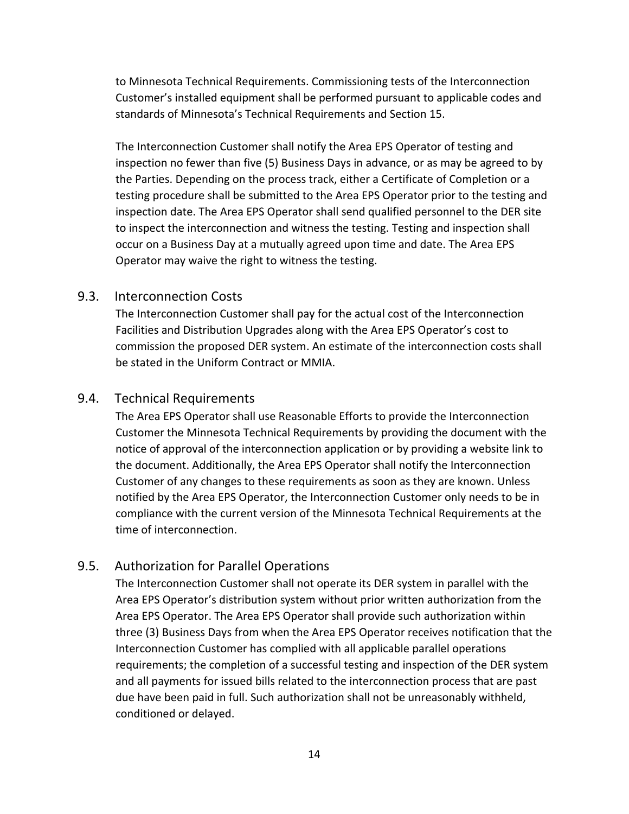to Minnesota Technical Requirements. Commissioning tests of the Interconnection Customer's installed equipment shall be performed pursuant to applicable codes and standards of Minnesota's Technical Requirements and Section 15.

The Interconnection Customer shall notify the Area EPS Operator of testing and inspection no fewer than five (5) Business Days in advance, or as may be agreed to by the Parties. Depending on the process track, either a Certificate of Completion or a testing procedure shall be submitted to the Area EPS Operator prior to the testing and inspection date. The Area EPS Operator shall send qualified personnel to the DER site to inspect the interconnection and witness the testing. Testing and inspection shall occur on a Business Day at a mutually agreed upon time and date. The Area EPS Operator may waive the right to witness the testing.

#### 9.3. Interconnection Costs

The Interconnection Customer shall pay for the actual cost of the Interconnection Facilities and Distribution Upgrades along with the Area EPS Operator's cost to commission the proposed DER system. An estimate of the interconnection costs shall be stated in the Uniform Contract or MMIA.

#### 9.4. Technical Requirements

The Area EPS Operator shall use Reasonable Efforts to provide the Interconnection Customer the Minnesota Technical Requirements by providing the document with the notice of approval of the interconnection application or by providing a website link to the document. Additionally, the Area EPS Operator shall notify the Interconnection Customer of any changes to these requirements as soon as they are known. Unless notified by the Area EPS Operator, the Interconnection Customer only needs to be in compliance with the current version of the Minnesota Technical Requirements at the time of interconnection.

#### 9.5. Authorization for Parallel Operations

The Interconnection Customer shall not operate its DER system in parallel with the Area EPS Operator's distribution system without prior written authorization from the Area EPS Operator. The Area EPS Operator shall provide such authorization within three (3) Business Days from when the Area EPS Operator receives notification that the Interconnection Customer has complied with all applicable parallel operations requirements; the completion of a successful testing and inspection of the DER system and all payments for issued bills related to the interconnection process that are past due have been paid in full. Such authorization shall not be unreasonably withheld, conditioned or delayed.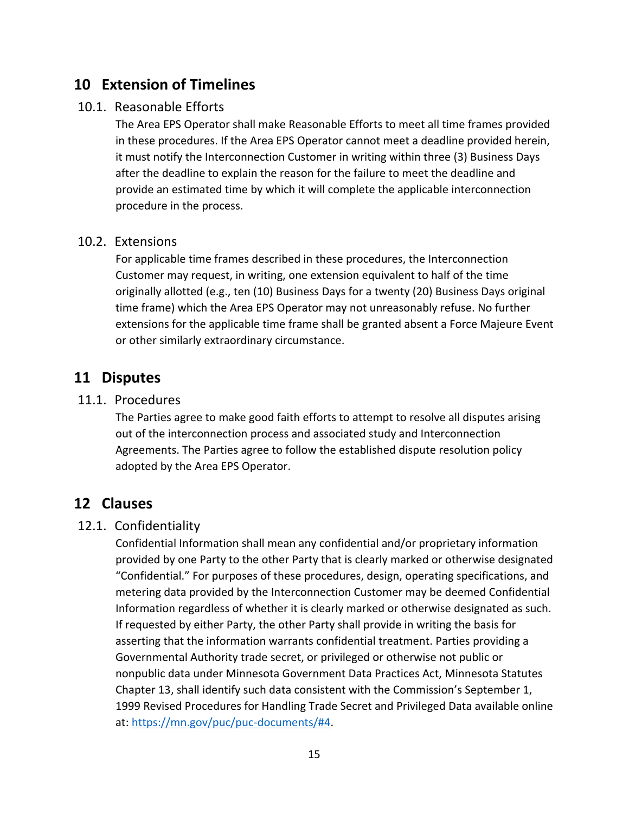## **10 Extension of Timelines**

## 10.1. Reasonable Efforts

The Area EPS Operator shall make Reasonable Efforts to meet all time frames provided in these procedures. If the Area EPS Operator cannot meet a deadline provided herein, it must notify the Interconnection Customer in writing within three (3) Business Days after the deadline to explain the reason for the failure to meet the deadline and provide an estimated time by which it will complete the applicable interconnection procedure in the process.

## 10.2. Extensions

For applicable time frames described in these procedures, the Interconnection Customer may request, in writing, one extension equivalent to half of the time originally allotted (e.g., ten (10) Business Days for a twenty (20) Business Days original time frame) which the Area EPS Operator may not unreasonably refuse. No further extensions for the applicable time frame shall be granted absent a Force Majeure Event or other similarly extraordinary circumstance.

## **11 Disputes**

#### 11.1. Procedures

The Parties agree to make good faith efforts to attempt to resolve all disputes arising out of the interconnection process and associated study and Interconnection Agreements. The Parties agree to follow the established dispute resolution policy adopted by the Area EPS Operator.

## **12 Clauses**

## 12.1. Confidentiality

Confidential Information shall mean any confidential and/or proprietary information provided by one Party to the other Party that is clearly marked or otherwise designated "Confidential." For purposes of these procedures, design, operating specifications, and metering data provided by the Interconnection Customer may be deemed Confidential Information regardless of whether it is clearly marked or otherwise designated as such. If requested by either Party, the other Party shall provide in writing the basis for asserting that the information warrants confidential treatment. Parties providing a Governmental Authority trade secret, or privileged or otherwise not public or nonpublic data under Minnesota Government Data Practices Act, Minnesota Statutes Chapter 13, shall identify such data consistent with the Commission's September 1, 1999 Revised Procedures for Handling Trade Secret and Privileged Data available online at: https://mn.gov/puc/puc‐documents/#4.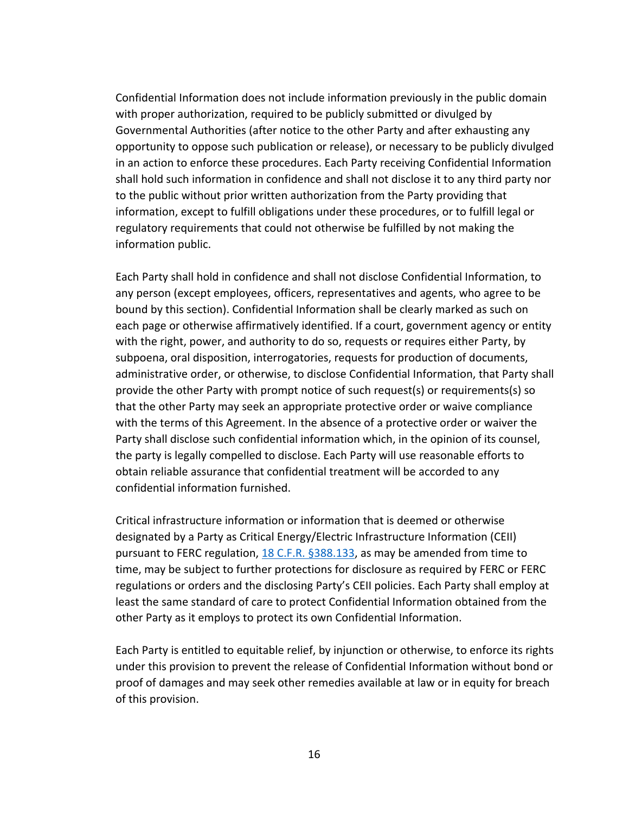Confidential Information does not include information previously in the public domain with proper authorization, required to be publicly submitted or divulged by Governmental Authorities (after notice to the other Party and after exhausting any opportunity to oppose such publication or release), or necessary to be publicly divulged in an action to enforce these procedures. Each Party receiving Confidential Information shall hold such information in confidence and shall not disclose it to any third party nor to the public without prior written authorization from the Party providing that information, except to fulfill obligations under these procedures, or to fulfill legal or regulatory requirements that could not otherwise be fulfilled by not making the information public.

Each Party shall hold in confidence and shall not disclose Confidential Information, to any person (except employees, officers, representatives and agents, who agree to be bound by this section). Confidential Information shall be clearly marked as such on each page or otherwise affirmatively identified. If a court, government agency or entity with the right, power, and authority to do so, requests or requires either Party, by subpoena, oral disposition, interrogatories, requests for production of documents, administrative order, or otherwise, to disclose Confidential Information, that Party shall provide the other Party with prompt notice of such request(s) or requirements(s) so that the other Party may seek an appropriate protective order or waive compliance with the terms of this Agreement. In the absence of a protective order or waiver the Party shall disclose such confidential information which, in the opinion of its counsel, the party is legally compelled to disclose. Each Party will use reasonable efforts to obtain reliable assurance that confidential treatment will be accorded to any confidential information furnished.

Critical infrastructure information or information that is deemed or otherwise designated by a Party as Critical Energy/Electric Infrastructure Information (CEII) pursuant to FERC regulation, 18 C.F.R. §388.133, as may be amended from time to time, may be subject to further protections for disclosure as required by FERC or FERC regulations or orders and the disclosing Party's CEII policies. Each Party shall employ at least the same standard of care to protect Confidential Information obtained from the other Party as it employs to protect its own Confidential Information.

Each Party is entitled to equitable relief, by injunction or otherwise, to enforce its rights under this provision to prevent the release of Confidential Information without bond or proof of damages and may seek other remedies available at law or in equity for breach of this provision.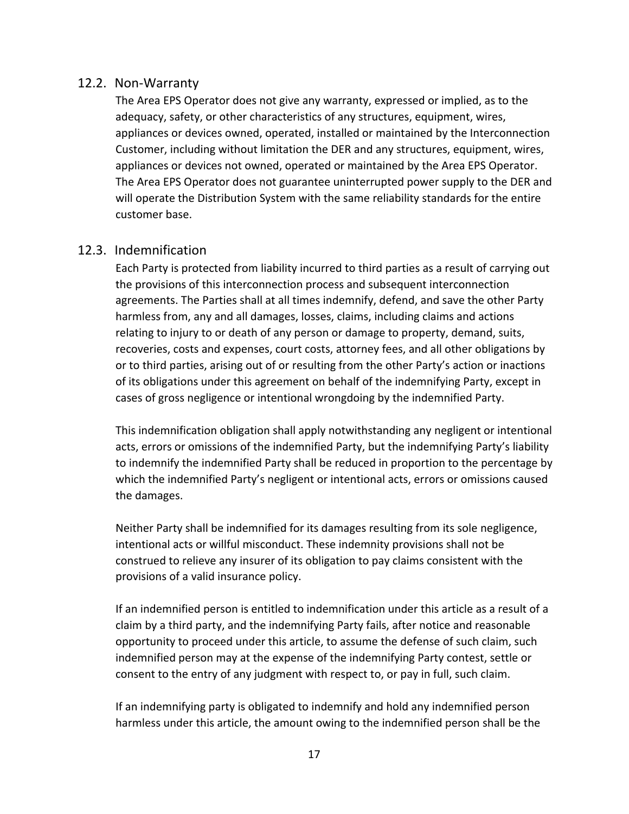#### 12.2. Non‐Warranty

The Area EPS Operator does not give any warranty, expressed or implied, as to the adequacy, safety, or other characteristics of any structures, equipment, wires, appliances or devices owned, operated, installed or maintained by the Interconnection Customer, including without limitation the DER and any structures, equipment, wires, appliances or devices not owned, operated or maintained by the Area EPS Operator. The Area EPS Operator does not guarantee uninterrupted power supply to the DER and will operate the Distribution System with the same reliability standards for the entire customer base.

#### 12.3. Indemnification

Each Party is protected from liability incurred to third parties as a result of carrying out the provisions of this interconnection process and subsequent interconnection agreements. The Parties shall at all times indemnify, defend, and save the other Party harmless from, any and all damages, losses, claims, including claims and actions relating to injury to or death of any person or damage to property, demand, suits, recoveries, costs and expenses, court costs, attorney fees, and all other obligations by or to third parties, arising out of or resulting from the other Party's action or inactions of its obligations under this agreement on behalf of the indemnifying Party, except in cases of gross negligence or intentional wrongdoing by the indemnified Party.

This indemnification obligation shall apply notwithstanding any negligent or intentional acts, errors or omissions of the indemnified Party, but the indemnifying Party's liability to indemnify the indemnified Party shall be reduced in proportion to the percentage by which the indemnified Party's negligent or intentional acts, errors or omissions caused the damages.

Neither Party shall be indemnified for its damages resulting from its sole negligence, intentional acts or willful misconduct. These indemnity provisions shall not be construed to relieve any insurer of its obligation to pay claims consistent with the provisions of a valid insurance policy.

If an indemnified person is entitled to indemnification under this article as a result of a claim by a third party, and the indemnifying Party fails, after notice and reasonable opportunity to proceed under this article, to assume the defense of such claim, such indemnified person may at the expense of the indemnifying Party contest, settle or consent to the entry of any judgment with respect to, or pay in full, such claim.

If an indemnifying party is obligated to indemnify and hold any indemnified person harmless under this article, the amount owing to the indemnified person shall be the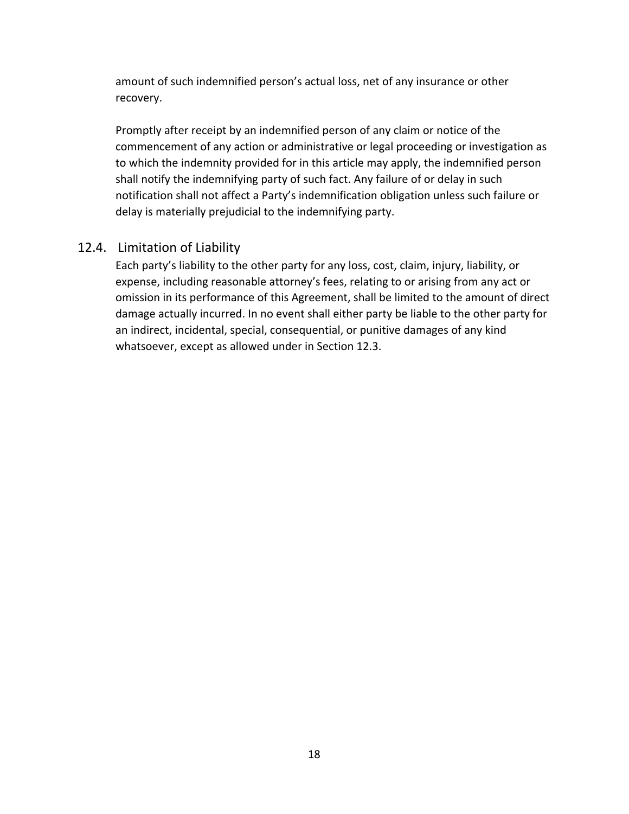amount of such indemnified person's actual loss, net of any insurance or other recovery.

Promptly after receipt by an indemnified person of any claim or notice of the commencement of any action or administrative or legal proceeding or investigation as to which the indemnity provided for in this article may apply, the indemnified person shall notify the indemnifying party of such fact. Any failure of or delay in such notification shall not affect a Party's indemnification obligation unless such failure or delay is materially prejudicial to the indemnifying party.

## 12.4. Limitation of Liability

Each party's liability to the other party for any loss, cost, claim, injury, liability, or expense, including reasonable attorney's fees, relating to or arising from any act or omission in its performance of this Agreement, shall be limited to the amount of direct damage actually incurred. In no event shall either party be liable to the other party for an indirect, incidental, special, consequential, or punitive damages of any kind whatsoever, except as allowed under in Section 12.3.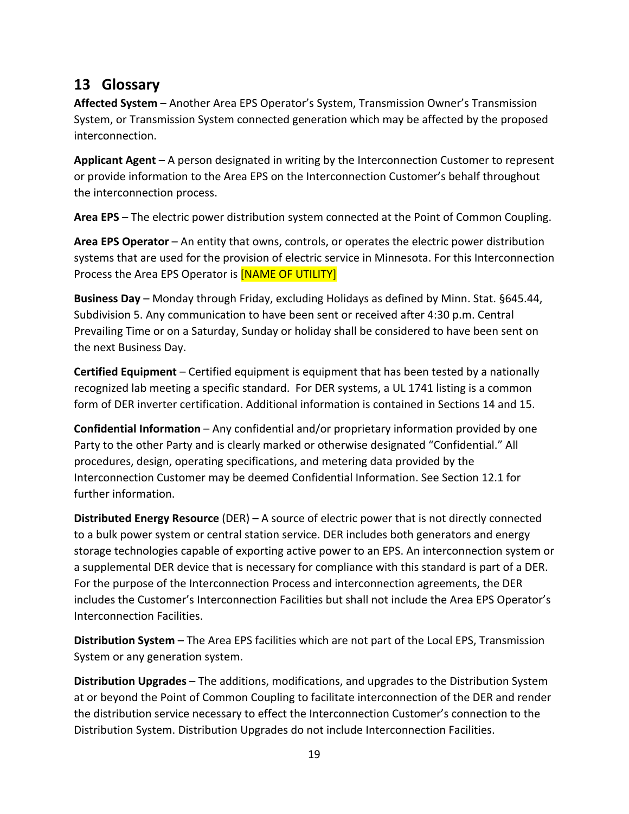# **13 Glossary**

**Affected System** – Another Area EPS Operator's System, Transmission Owner's Transmission System, or Transmission System connected generation which may be affected by the proposed interconnection.

**Applicant Agent** – A person designated in writing by the Interconnection Customer to represent or provide information to the Area EPS on the Interconnection Customer's behalf throughout the interconnection process.

**Area EPS** – The electric power distribution system connected at the Point of Common Coupling.

**Area EPS Operator** – An entity that owns, controls, or operates the electric power distribution systems that are used for the provision of electric service in Minnesota. For this Interconnection Process the Area EPS Operator is [NAME OF UTILITY]

**Business Day** – Monday through Friday, excluding Holidays as defined by Minn. Stat. §645.44, Subdivision 5. Any communication to have been sent or received after 4:30 p.m. Central Prevailing Time or on a Saturday, Sunday or holiday shall be considered to have been sent on the next Business Day.

**Certified Equipment** – Certified equipment is equipment that has been tested by a nationally recognized lab meeting a specific standard. For DER systems, a UL 1741 listing is a common form of DER inverter certification. Additional information is contained in Sections 14 and 15.

**Confidential Information** – Any confidential and/or proprietary information provided by one Party to the other Party and is clearly marked or otherwise designated "Confidential." All procedures, design, operating specifications, and metering data provided by the Interconnection Customer may be deemed Confidential Information. See Section 12.1 for further information.

**Distributed Energy Resource** (DER) – A source of electric power that is not directly connected to a bulk power system or central station service. DER includes both generators and energy storage technologies capable of exporting active power to an EPS. An interconnection system or a supplemental DER device that is necessary for compliance with this standard is part of a DER. For the purpose of the Interconnection Process and interconnection agreements, the DER includes the Customer's Interconnection Facilities but shall not include the Area EPS Operator's Interconnection Facilities.

**Distribution System** – The Area EPS facilities which are not part of the Local EPS, Transmission System or any generation system.

**Distribution Upgrades** – The additions, modifications, and upgrades to the Distribution System at or beyond the Point of Common Coupling to facilitate interconnection of the DER and render the distribution service necessary to effect the Interconnection Customer's connection to the Distribution System. Distribution Upgrades do not include Interconnection Facilities.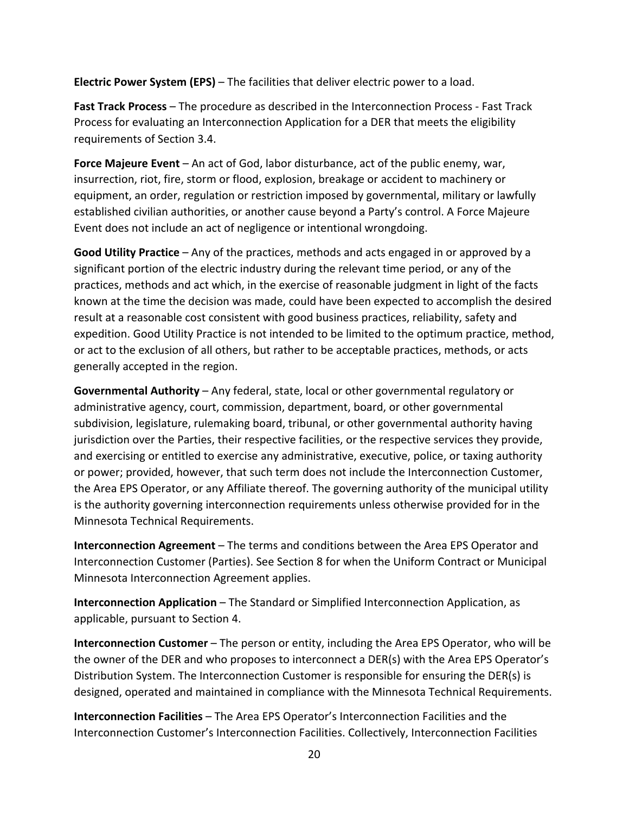**Electric Power System (EPS)** – The facilities that deliver electric power to a load.

**Fast Track Process** – The procedure as described in the Interconnection Process ‐ Fast Track Process for evaluating an Interconnection Application for a DER that meets the eligibility requirements of Section 3.4.

**Force Majeure Event** – An act of God, labor disturbance, act of the public enemy, war, insurrection, riot, fire, storm or flood, explosion, breakage or accident to machinery or equipment, an order, regulation or restriction imposed by governmental, military or lawfully established civilian authorities, or another cause beyond a Party's control. A Force Majeure Event does not include an act of negligence or intentional wrongdoing.

**Good Utility Practice** – Any of the practices, methods and acts engaged in or approved by a significant portion of the electric industry during the relevant time period, or any of the practices, methods and act which, in the exercise of reasonable judgment in light of the facts known at the time the decision was made, could have been expected to accomplish the desired result at a reasonable cost consistent with good business practices, reliability, safety and expedition. Good Utility Practice is not intended to be limited to the optimum practice, method, or act to the exclusion of all others, but rather to be acceptable practices, methods, or acts generally accepted in the region.

**Governmental Authority** – Any federal, state, local or other governmental regulatory or administrative agency, court, commission, department, board, or other governmental subdivision, legislature, rulemaking board, tribunal, or other governmental authority having jurisdiction over the Parties, their respective facilities, or the respective services they provide, and exercising or entitled to exercise any administrative, executive, police, or taxing authority or power; provided, however, that such term does not include the Interconnection Customer, the Area EPS Operator, or any Affiliate thereof. The governing authority of the municipal utility is the authority governing interconnection requirements unless otherwise provided for in the Minnesota Technical Requirements.

**Interconnection Agreement** – The terms and conditions between the Area EPS Operator and Interconnection Customer (Parties). See Section 8 for when the Uniform Contract or Municipal Minnesota Interconnection Agreement applies.

**Interconnection Application** – The Standard or Simplified Interconnection Application, as applicable, pursuant to Section 4.

**Interconnection Customer** – The person or entity, including the Area EPS Operator, who will be the owner of the DER and who proposes to interconnect a DER(s) with the Area EPS Operator's Distribution System. The Interconnection Customer is responsible for ensuring the DER(s) is designed, operated and maintained in compliance with the Minnesota Technical Requirements.

**Interconnection Facilities** – The Area EPS Operator's Interconnection Facilities and the Interconnection Customer's Interconnection Facilities. Collectively, Interconnection Facilities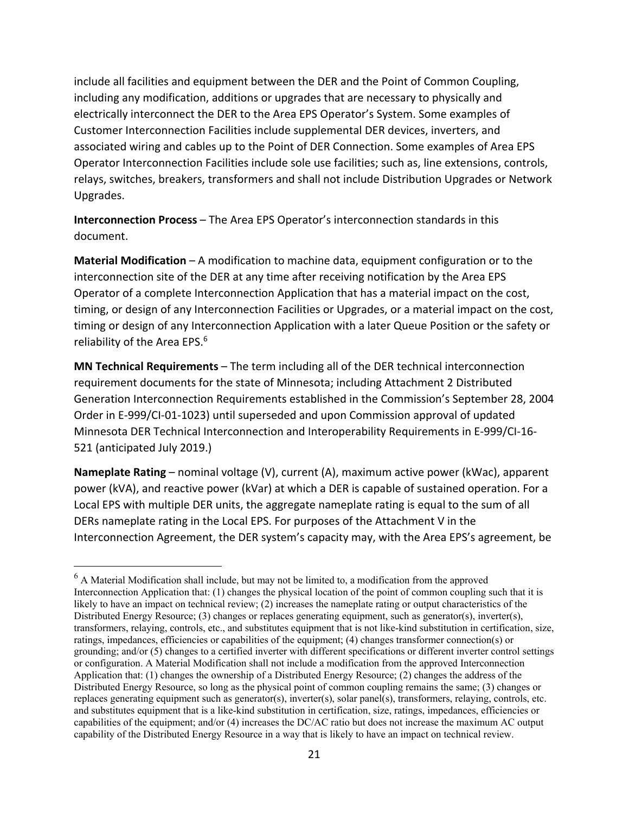include all facilities and equipment between the DER and the Point of Common Coupling, including any modification, additions or upgrades that are necessary to physically and electrically interconnect the DER to the Area EPS Operator's System. Some examples of Customer Interconnection Facilities include supplemental DER devices, inverters, and associated wiring and cables up to the Point of DER Connection. Some examples of Area EPS Operator Interconnection Facilities include sole use facilities; such as, line extensions, controls, relays, switches, breakers, transformers and shall not include Distribution Upgrades or Network Upgrades.

**Interconnection Process** – The Area EPS Operator's interconnection standards in this document.

**Material Modification** – A modification to machine data, equipment configuration or to the interconnection site of the DER at any time after receiving notification by the Area EPS Operator of a complete Interconnection Application that has a material impact on the cost, timing, or design of any Interconnection Facilities or Upgrades, or a material impact on the cost, timing or design of any Interconnection Application with a later Queue Position or the safety or reliability of the Area EPS.<sup>6</sup>

**MN Technical Requirements** – The term including all of the DER technical interconnection requirement documents for the state of Minnesota; including Attachment 2 Distributed Generation Interconnection Requirements established in the Commission's September 28, 2004 Order in E‐999/CI‐01‐1023) until superseded and upon Commission approval of updated Minnesota DER Technical Interconnection and Interoperability Requirements in E‐999/CI‐16‐ 521 (anticipated July 2019.)

**Nameplate Rating** – nominal voltage (V), current (A), maximum active power (kWac), apparent power (kVA), and reactive power (kVar) at which a DER is capable of sustained operation. For a Local EPS with multiple DER units, the aggregate nameplate rating is equal to the sum of all DERs nameplate rating in the Local EPS. For purposes of the Attachment V in the Interconnection Agreement, the DER system's capacity may, with the Area EPS's agreement, be

 $6$  A Material Modification shall include, but may not be limited to, a modification from the approved Interconnection Application that: (1) changes the physical location of the point of common coupling such that it is likely to have an impact on technical review; (2) increases the nameplate rating or output characteristics of the Distributed Energy Resource; (3) changes or replaces generating equipment, such as generator(s), inverter(s), transformers, relaying, controls, etc., and substitutes equipment that is not like-kind substitution in certification, size, ratings, impedances, efficiencies or capabilities of the equipment; (4) changes transformer connection(s) or grounding; and/or (5) changes to a certified inverter with different specifications or different inverter control settings or configuration. A Material Modification shall not include a modification from the approved Interconnection Application that: (1) changes the ownership of a Distributed Energy Resource; (2) changes the address of the Distributed Energy Resource, so long as the physical point of common coupling remains the same; (3) changes or replaces generating equipment such as generator(s), inverter(s), solar panel(s), transformers, relaying, controls, etc. and substitutes equipment that is a like-kind substitution in certification, size, ratings, impedances, efficiencies or capabilities of the equipment; and/or (4) increases the DC/AC ratio but does not increase the maximum AC output capability of the Distributed Energy Resource in a way that is likely to have an impact on technical review.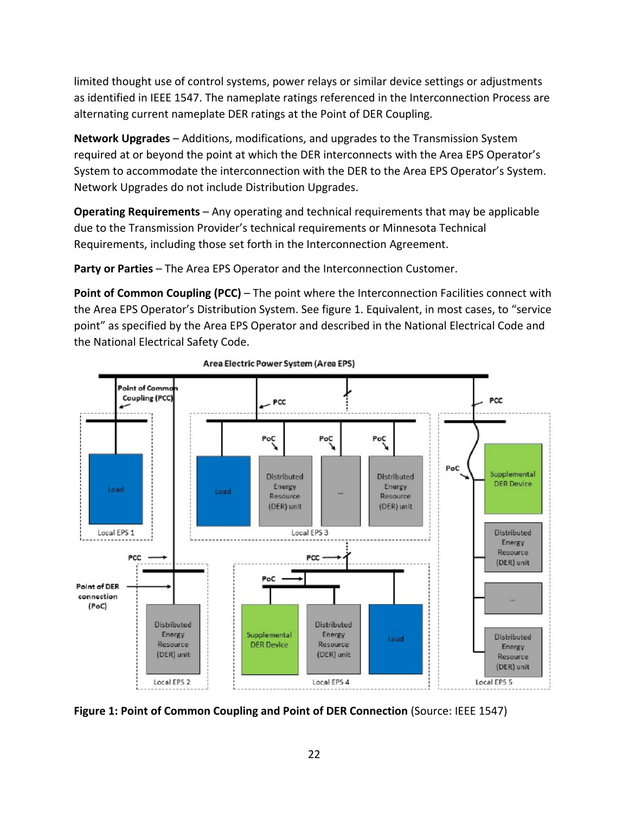limited thought use of control systems, power relays or similar device settings or adjustments as identified in IEEE 1547. The nameplate ratings referenced in the Interconnection Process are alternating current nameplate DER ratings at the Point of DER Coupling.

**Network Upgrades** – Additions, modifications, and upgrades to the Transmission System required at or beyond the point at which the DER interconnects with the Area EPS Operator's System to accommodate the interconnection with the DER to the Area EPS Operator's System. Network Upgrades do not include Distribution Upgrades.

**Operating Requirements** – Any operating and technical requirements that may be applicable due to the Transmission Provider's technical requirements or Minnesota Technical Requirements, including those set forth in the Interconnection Agreement.

**Party or Parties** – The Area EPS Operator and the Interconnection Customer.

**Point of Common Coupling (PCC)** – The point where the Interconnection Facilities connect with the Area EPS Operator's Distribution System. See figure 1. Equivalent, in most cases, to "service point" as specified by the Area EPS Operator and described in the National Electrical Code and the National Electrical Safety Code.



Area Electric Power System (Area EPS)

**Figure 1: Point of Common Coupling and Point of DER Connection** (Source: IEEE 1547)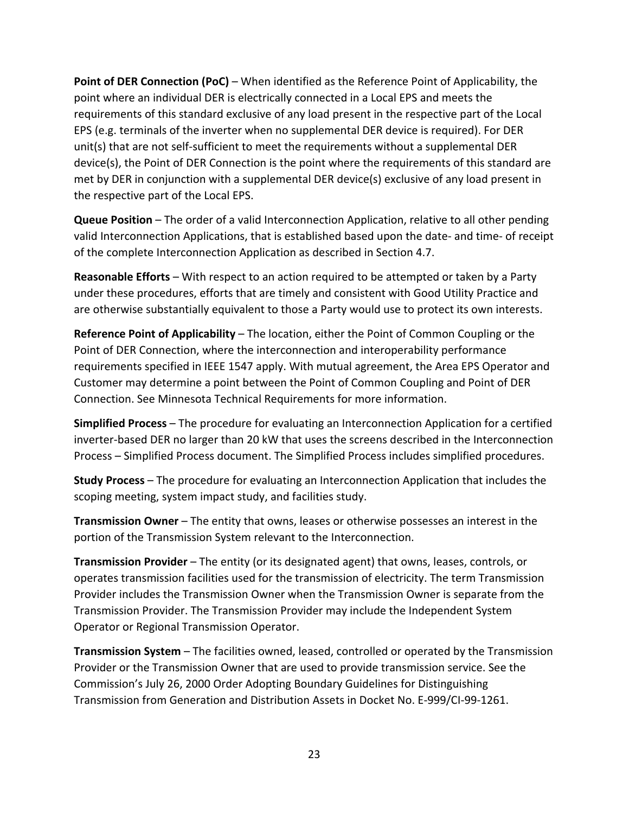**Point of DER Connection (PoC)** – When identified as the Reference Point of Applicability, the point where an individual DER is electrically connected in a Local EPS and meets the requirements of this standard exclusive of any load present in the respective part of the Local EPS (e.g. terminals of the inverter when no supplemental DER device is required). For DER unit(s) that are not self-sufficient to meet the requirements without a supplemental DER device(s), the Point of DER Connection is the point where the requirements of this standard are met by DER in conjunction with a supplemental DER device(s) exclusive of any load present in the respective part of the Local EPS.

**Queue Position** – The order of a valid Interconnection Application, relative to all other pending valid Interconnection Applications, that is established based upon the date‐ and time‐ of receipt of the complete Interconnection Application as described in Section 4.7.

**Reasonable Efforts** – With respect to an action required to be attempted or taken by a Party under these procedures, efforts that are timely and consistent with Good Utility Practice and are otherwise substantially equivalent to those a Party would use to protect its own interests.

**Reference Point of Applicability** – The location, either the Point of Common Coupling or the Point of DER Connection, where the interconnection and interoperability performance requirements specified in IEEE 1547 apply. With mutual agreement, the Area EPS Operator and Customer may determine a point between the Point of Common Coupling and Point of DER Connection. See Minnesota Technical Requirements for more information.

**Simplified Process** – The procedure for evaluating an Interconnection Application for a certified inverter-based DER no larger than 20 kW that uses the screens described in the Interconnection Process – Simplified Process document. The Simplified Process includes simplified procedures.

**Study Process** – The procedure for evaluating an Interconnection Application that includes the scoping meeting, system impact study, and facilities study.

**Transmission Owner** – The entity that owns, leases or otherwise possesses an interest in the portion of the Transmission System relevant to the Interconnection.

**Transmission Provider** – The entity (or its designated agent) that owns, leases, controls, or operates transmission facilities used for the transmission of electricity. The term Transmission Provider includes the Transmission Owner when the Transmission Owner is separate from the Transmission Provider. The Transmission Provider may include the Independent System Operator or Regional Transmission Operator.

**Transmission System** – The facilities owned, leased, controlled or operated by the Transmission Provider or the Transmission Owner that are used to provide transmission service. See the Commission's July 26, 2000 Order Adopting Boundary Guidelines for Distinguishing Transmission from Generation and Distribution Assets in Docket No. E‐999/CI‐99‐1261.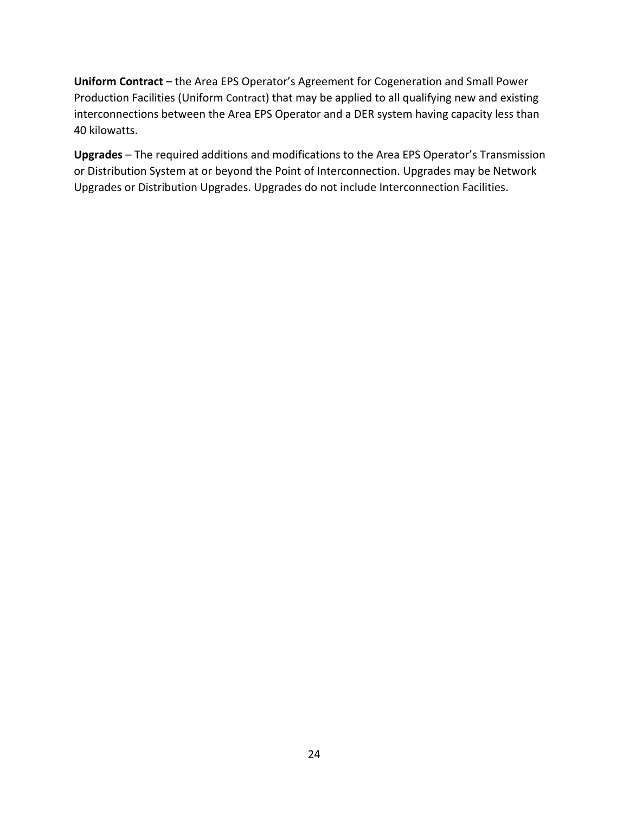**Uniform Contract** – the Area EPS Operator's Agreement for Cogeneration and Small Power Production Facilities (Uniform Contract) that may be applied to all qualifying new and existing interconnections between the Area EPS Operator and a DER system having capacity less than 40 kilowatts.

**Upgrades** – The required additions and modifications to the Area EPS Operator's Transmission or Distribution System at or beyond the Point of Interconnection. Upgrades may be Network Upgrades or Distribution Upgrades. Upgrades do not include Interconnection Facilities.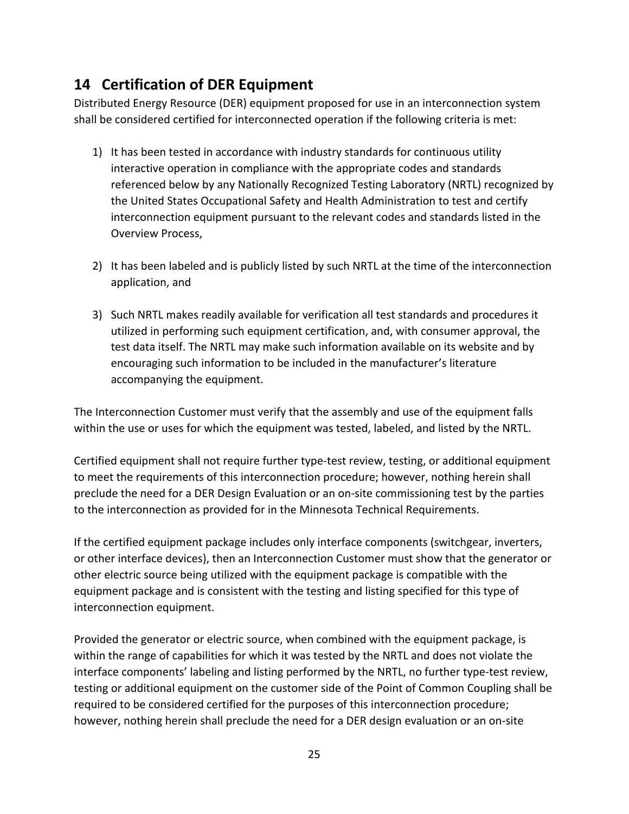# **14 Certification of DER Equipment**

Distributed Energy Resource (DER) equipment proposed for use in an interconnection system shall be considered certified for interconnected operation if the following criteria is met:

- 1) It has been tested in accordance with industry standards for continuous utility interactive operation in compliance with the appropriate codes and standards referenced below by any Nationally Recognized Testing Laboratory (NRTL) recognized by the United States Occupational Safety and Health Administration to test and certify interconnection equipment pursuant to the relevant codes and standards listed in the Overview Process,
- 2) It has been labeled and is publicly listed by such NRTL at the time of the interconnection application, and
- 3) Such NRTL makes readily available for verification all test standards and procedures it utilized in performing such equipment certification, and, with consumer approval, the test data itself. The NRTL may make such information available on its website and by encouraging such information to be included in the manufacturer's literature accompanying the equipment.

The Interconnection Customer must verify that the assembly and use of the equipment falls within the use or uses for which the equipment was tested, labeled, and listed by the NRTL.

Certified equipment shall not require further type‐test review, testing, or additional equipment to meet the requirements of this interconnection procedure; however, nothing herein shall preclude the need for a DER Design Evaluation or an on‐site commissioning test by the parties to the interconnection as provided for in the Minnesota Technical Requirements.

If the certified equipment package includes only interface components (switchgear, inverters, or other interface devices), then an Interconnection Customer must show that the generator or other electric source being utilized with the equipment package is compatible with the equipment package and is consistent with the testing and listing specified for this type of interconnection equipment.

Provided the generator or electric source, when combined with the equipment package, is within the range of capabilities for which it was tested by the NRTL and does not violate the interface components' labeling and listing performed by the NRTL, no further type-test review, testing or additional equipment on the customer side of the Point of Common Coupling shall be required to be considered certified for the purposes of this interconnection procedure; however, nothing herein shall preclude the need for a DER design evaluation or an on‐site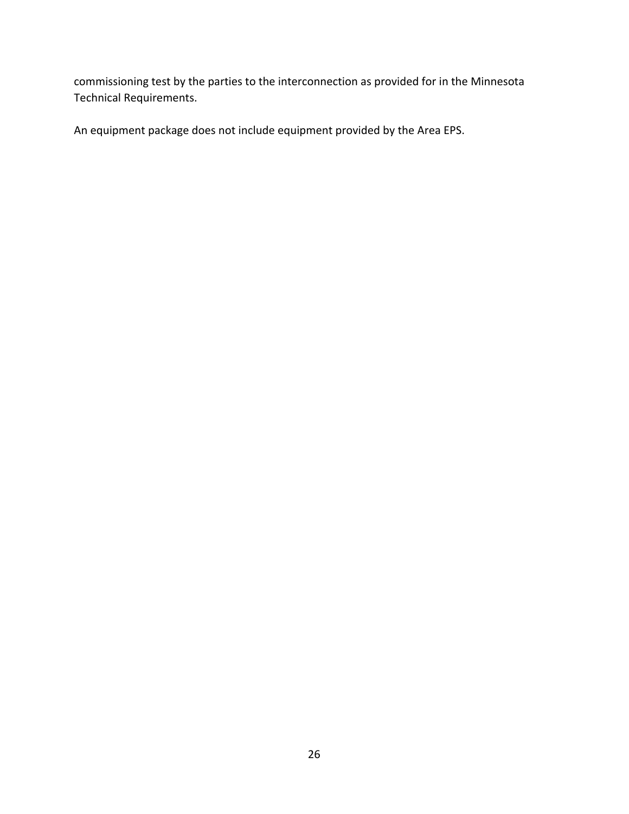commissioning test by the parties to the interconnection as provided for in the Minnesota Technical Requirements.

An equipment package does not include equipment provided by the Area EPS.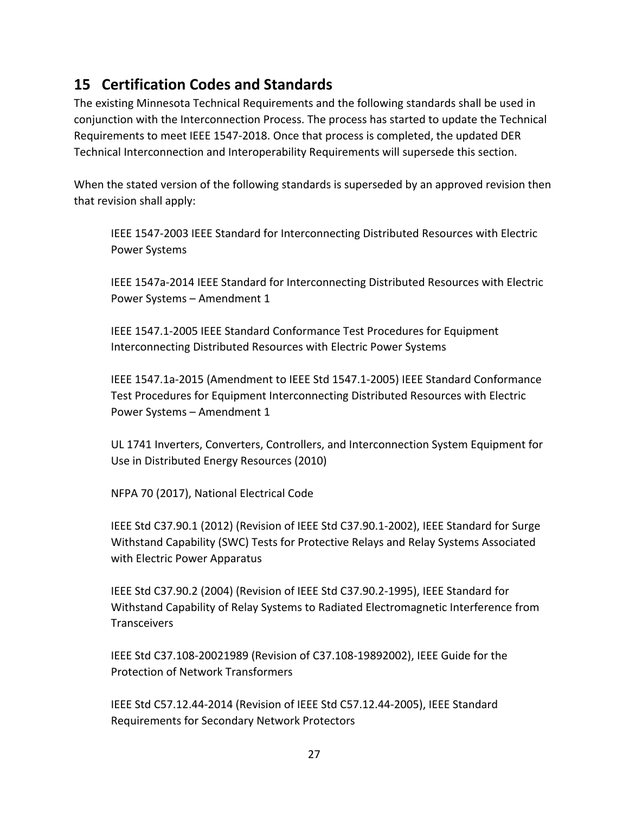# **15 Certification Codes and Standards**

The existing Minnesota Technical Requirements and the following standards shall be used in conjunction with the Interconnection Process. The process has started to update the Technical Requirements to meet IEEE 1547‐2018. Once that process is completed, the updated DER Technical Interconnection and Interoperability Requirements will supersede this section.

When the stated version of the following standards is superseded by an approved revision then that revision shall apply:

IEEE 1547‐2003 IEEE Standard for Interconnecting Distributed Resources with Electric Power Systems

IEEE 1547a‐2014 IEEE Standard for Interconnecting Distributed Resources with Electric Power Systems – Amendment 1

IEEE 1547.1‐2005 IEEE Standard Conformance Test Procedures for Equipment Interconnecting Distributed Resources with Electric Power Systems

IEEE 1547.1a‐2015 (Amendment to IEEE Std 1547.1‐2005) IEEE Standard Conformance Test Procedures for Equipment Interconnecting Distributed Resources with Electric Power Systems – Amendment 1

UL 1741 Inverters, Converters, Controllers, and Interconnection System Equipment for Use in Distributed Energy Resources (2010)

NFPA 70 (2017), National Electrical Code

IEEE Std C37.90.1 (2012) (Revision of IEEE Std C37.90.1‐2002), IEEE Standard for Surge Withstand Capability (SWC) Tests for Protective Relays and Relay Systems Associated with Electric Power Apparatus

IEEE Std C37.90.2 (2004) (Revision of IEEE Std C37.90.2‐1995), IEEE Standard for Withstand Capability of Relay Systems to Radiated Electromagnetic Interference from **Transceivers** 

IEEE Std C37.108‐20021989 (Revision of C37.108‐19892002), IEEE Guide for the Protection of Network Transformers

IEEE Std C57.12.44‐2014 (Revision of IEEE Std C57.12.44‐2005), IEEE Standard Requirements for Secondary Network Protectors